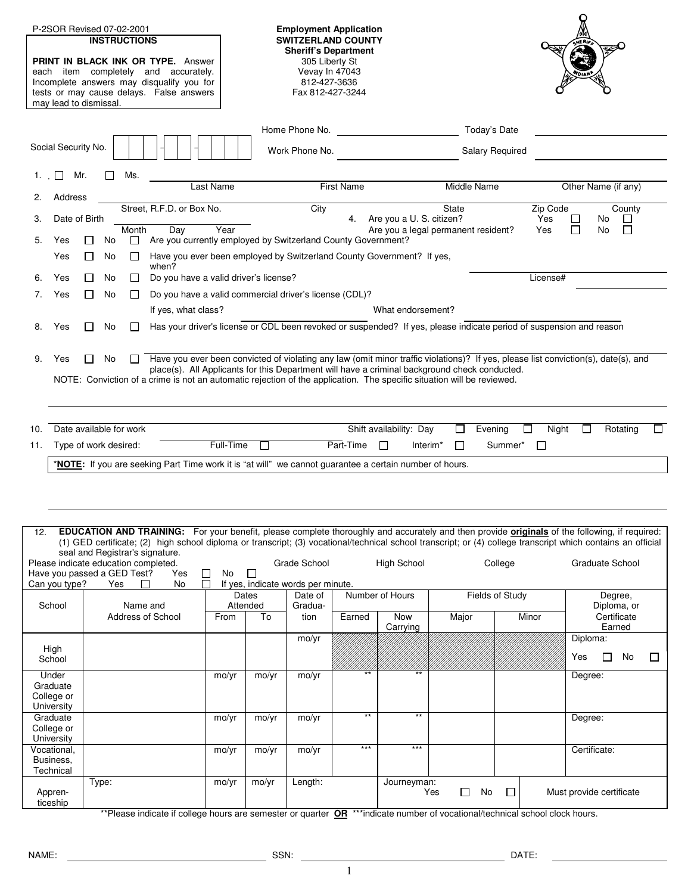| may lead to dismissal.                        | P-2SOR Revised 07-02-2001<br><b>INSTRUCTIONS</b><br>PRINT IN BLACK INK OR TYPE. Answer<br>each item completely and accurately.<br>Incomplete answers may disqualify you for<br>tests or may cause delays. False answers |                                                                       |           |                                                                     | <b>Sheriff's Department</b><br>305 Liberty St<br>Vevay In 47043<br>812-427-3636<br>Fax 812-427-3244 | <b>Employment Application</b><br><b>SWITZERLAND COUNTY</b> |                                |                                                                                                                              |                                     |                                                                                                                                                                                                                                                                                                                             |        |
|-----------------------------------------------|-------------------------------------------------------------------------------------------------------------------------------------------------------------------------------------------------------------------------|-----------------------------------------------------------------------|-----------|---------------------------------------------------------------------|-----------------------------------------------------------------------------------------------------|------------------------------------------------------------|--------------------------------|------------------------------------------------------------------------------------------------------------------------------|-------------------------------------|-----------------------------------------------------------------------------------------------------------------------------------------------------------------------------------------------------------------------------------------------------------------------------------------------------------------------------|--------|
| Social Security No.                           |                                                                                                                                                                                                                         |                                                                       |           | Home Phone No.<br>Today's Date<br>Work Phone No.<br>Salary Required |                                                                                                     |                                                            |                                |                                                                                                                              |                                     |                                                                                                                                                                                                                                                                                                                             |        |
| Mr.<br>Ms.<br>First Name                      |                                                                                                                                                                                                                         |                                                                       |           |                                                                     |                                                                                                     |                                                            |                                |                                                                                                                              |                                     |                                                                                                                                                                                                                                                                                                                             |        |
| Address<br>2.                                 |                                                                                                                                                                                                                         |                                                                       | Last Name |                                                                     |                                                                                                     |                                                            |                                | Middle Name                                                                                                                  |                                     | Other Name (if any)                                                                                                                                                                                                                                                                                                         |        |
| Date of Birth<br>3.                           |                                                                                                                                                                                                                         | Street, R.F.D. or Box No.                                             |           |                                                                     | City                                                                                                |                                                            | 4. Are you a U. S. citizen?    | State                                                                                                                        | Zip Code<br>Yes                     | County<br>No<br>⊔                                                                                                                                                                                                                                                                                                           |        |
| 5.<br>Yes                                     | Month<br>No<br>$\Box$<br>$\perp$                                                                                                                                                                                        | Day<br>Are you currently employed by Switzerland County Government?   | Year      |                                                                     |                                                                                                     |                                                            |                                | Are you a legal permanent resident?                                                                                          | Yes                                 | П<br>$\Box$<br>No                                                                                                                                                                                                                                                                                                           |        |
| Yes                                           | No<br>$\Box$<br>$\perp$                                                                                                                                                                                                 | Have you ever been employed by Switzerland County Government? If yes, |           |                                                                     |                                                                                                     |                                                            |                                |                                                                                                                              |                                     |                                                                                                                                                                                                                                                                                                                             |        |
| Yes<br>6.                                     | $\Box$<br>No<br>$\mathbf{L}$                                                                                                                                                                                            | when?<br>Do you have a valid driver's license?                        |           |                                                                     |                                                                                                     |                                                            |                                |                                                                                                                              | License#                            |                                                                                                                                                                                                                                                                                                                             |        |
| Yes<br>7.                                     | No<br>$\Box$                                                                                                                                                                                                            | Do you have a valid commercial driver's license (CDL)?                |           |                                                                     |                                                                                                     |                                                            |                                |                                                                                                                              |                                     |                                                                                                                                                                                                                                                                                                                             |        |
|                                               |                                                                                                                                                                                                                         | If yes, what class?                                                   |           |                                                                     |                                                                                                     |                                                            | What endorsement?              |                                                                                                                              |                                     |                                                                                                                                                                                                                                                                                                                             |        |
| Yes<br>8.                                     | No                                                                                                                                                                                                                      |                                                                       |           |                                                                     |                                                                                                     |                                                            |                                | Has your driver's license or CDL been revoked or suspended? If yes, please indicate period of suspension and reason          |                                     |                                                                                                                                                                                                                                                                                                                             |        |
| 9.<br>Yes<br>10.                              | No.<br>$\mathbf{1}$<br>NOTE: Conviction of a crime is not an automatic rejection of the application. The specific situation will be reviewed.<br>Date available for work                                                |                                                                       |           |                                                                     |                                                                                                     |                                                            | Shift availability: Day        | place(s). All Applicants for this Department will have a criminal background check conducted.<br>Evening<br>$\Box$           | Night                               | Have you ever been convicted of violating any law (omit minor traffic violations)? If yes, please list conviction(s), date(s), and<br>Rotating<br>$\Box$                                                                                                                                                                    |        |
| 11.                                           | Type of work desired:                                                                                                                                                                                                   |                                                                       | Full-Time |                                                                     |                                                                                                     | Part-Time                                                  | $\Box$<br>Interim <sup>*</sup> | $\Box$                                                                                                                       | Summer*<br>$\overline{\phantom{a}}$ |                                                                                                                                                                                                                                                                                                                             |        |
|                                               | * <b>NOTE</b> : If you are seeking Part Time work it is "at will" we cannot guarantee a certain number of hours.                                                                                                        |                                                                       |           |                                                                     |                                                                                                     |                                                            |                                |                                                                                                                              |                                     |                                                                                                                                                                                                                                                                                                                             |        |
| 12.                                           |                                                                                                                                                                                                                         |                                                                       |           |                                                                     |                                                                                                     |                                                            |                                |                                                                                                                              |                                     | <b>EDUCATION AND TRAINING:</b> For your benefit, please complete thoroughly and accurately and then provide <i>originals</i> of the following, if required:<br>(1) GED certificate; (2) high school diploma or transcript; (3) vocational/technical school transcript; or (4) college transcript which contains an official |        |
|                                               | seal and Registrar's signature.<br>Please indicate education completed.<br>Have you passed a GED Test?                                                                                                                  | Yes<br>$\Box$                                                         | No        | $\Box$                                                              | Grade School                                                                                        |                                                            | <b>High School</b>             |                                                                                                                              | College                             | <b>Graduate School</b>                                                                                                                                                                                                                                                                                                      |        |
| Can you type?                                 | Yes<br>$\mathsf{L}$                                                                                                                                                                                                     | П<br>No                                                               |           | Dates                                                               | If yes, indicate words per minute.<br>Date of                                                       |                                                            | Number of Hours                |                                                                                                                              | Fields of Study                     | Degree,                                                                                                                                                                                                                                                                                                                     |        |
| School                                        | Name and<br>Address of School                                                                                                                                                                                           |                                                                       | From      | Attended<br>To                                                      | Gradua-<br>tion                                                                                     | Earned                                                     | Now                            | Major                                                                                                                        | Minor                               | Diploma, or<br>Certificate                                                                                                                                                                                                                                                                                                  |        |
|                                               |                                                                                                                                                                                                                         |                                                                       |           |                                                                     | mo/yr                                                                                               |                                                            | Carrying                       |                                                                                                                              |                                     | Earned<br>Diploma:                                                                                                                                                                                                                                                                                                          |        |
| High<br>School                                |                                                                                                                                                                                                                         |                                                                       |           |                                                                     |                                                                                                     |                                                            |                                |                                                                                                                              |                                     | $\Box$<br>No<br>Yes                                                                                                                                                                                                                                                                                                         | $\Box$ |
| Under<br>Graduate<br>College or<br>University |                                                                                                                                                                                                                         |                                                                       | mo/yr     | mo/yr                                                               | mo/yr                                                                                               | **                                                         | $***$                          |                                                                                                                              |                                     | Degree:                                                                                                                                                                                                                                                                                                                     |        |
| Graduate<br>College or                        |                                                                                                                                                                                                                         |                                                                       | mo/yr     | mo/yr                                                               | mo/yr                                                                                               | $***$                                                      | $***$                          |                                                                                                                              |                                     | Degree:                                                                                                                                                                                                                                                                                                                     |        |
| University<br>Vocational,<br>Business,        |                                                                                                                                                                                                                         |                                                                       | mo/yr     | mo/yr                                                               | mo/yr                                                                                               | $***$                                                      | $***$                          |                                                                                                                              |                                     | Certificate:                                                                                                                                                                                                                                                                                                                |        |
| Technical<br>Appren-<br>ticeship              | Type:                                                                                                                                                                                                                   |                                                                       | mo/yr     | mo/yr                                                               | Length:                                                                                             |                                                            | Journeyman:                    | $\Box$<br>Yes<br>No                                                                                                          | $\Box$                              | Must provide certificate                                                                                                                                                                                                                                                                                                    |        |
|                                               |                                                                                                                                                                                                                         |                                                                       |           |                                                                     |                                                                                                     |                                                            |                                | **Please indicate if college hours are semester or quarter OR ***indicate number of vocational/technical school clock hours. |                                     |                                                                                                                                                                                                                                                                                                                             |        |

| NAME: | SSN: | DATE: |
|-------|------|-------|
|       | __   |       |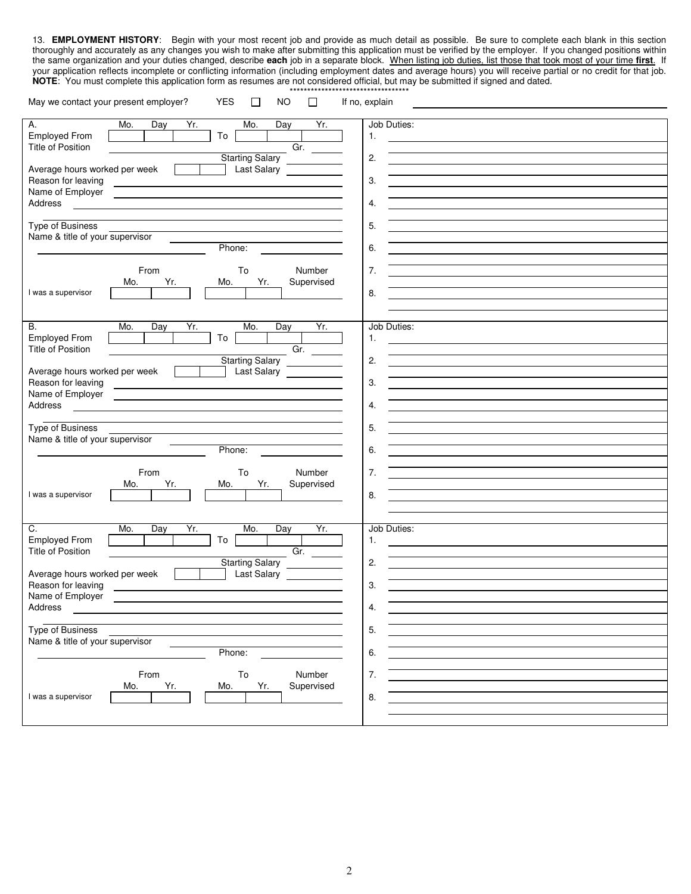13. **EMPLOYMENT HISTORY**: Begin with your most recent job and provide as much detail as possible. Be sure to complete each blank in this section thoroughly and accurately as any changes you wish to make after submitting this application must be verified by the employer. If you changed positions within the same organization and your duties changed, describe **each** job in a separate block. When listing job duties, list those that took most of your time **first**. If your application reflects incomplete or conflicting information (including employment dates and average hours) you will receive partial or no credit for that job. **NOTE**: You must complete this application form as resumes are not considered official, but may be submitted if signed and dated. \*\*\*\*\*\*\*\*\*\*\*\*\*\*\*\*\*\*\*\*\*\*\*\*\*\*\*\*\*\*\*\*\*\*

| May we contact your present employer?<br>YES<br><b>NO</b><br>□<br>$\Box$                                                                                                                                                                                                                                                                                                                                                                               | If no, explain |
|--------------------------------------------------------------------------------------------------------------------------------------------------------------------------------------------------------------------------------------------------------------------------------------------------------------------------------------------------------------------------------------------------------------------------------------------------------|----------------|
|                                                                                                                                                                                                                                                                                                                                                                                                                                                        |                |
| Yr.<br>Mo.<br>Yr.<br>А.<br>Mo.<br>Day<br>Day                                                                                                                                                                                                                                                                                                                                                                                                           | Job Duties:    |
| <b>Employed From</b><br>To                                                                                                                                                                                                                                                                                                                                                                                                                             | 1.             |
| <b>Title of Position</b><br>$\overline{Gr}$ .                                                                                                                                                                                                                                                                                                                                                                                                          |                |
| <b>Starting Salary</b>                                                                                                                                                                                                                                                                                                                                                                                                                                 | 2.             |
| Average hours worked per week                                                                                                                                                                                                                                                                                                                                                                                                                          |                |
| <b>Last Salary</b>                                                                                                                                                                                                                                                                                                                                                                                                                                     |                |
| Reason for leaving<br>$\frac{1}{\sqrt{2\pi}}\left(\frac{1}{\sqrt{2\pi}}\right)^{2}=\frac{1}{\sqrt{2\pi}}\left(\frac{1}{\sqrt{2\pi}}\right)^{2}=\frac{1}{\sqrt{2\pi}}\left(\frac{1}{\sqrt{2\pi}}\right)^{2}=\frac{1}{\sqrt{2\pi}}\left(\frac{1}{\sqrt{2\pi}}\right)^{2}=\frac{1}{\sqrt{2\pi}}\left(\frac{1}{\sqrt{2\pi}}\right)^{2}=\frac{1}{\sqrt{2\pi}}\left(\frac{1}{\sqrt{2\pi}}\right)^{2}=\frac{1}{\sqrt{2\pi}}\left(\frac{1}{\sqrt{2\pi}}\right$ | 3.             |
| Name of Employer<br><u> 1989 - Johann Stoff, fransk politik (d. 1989)</u>                                                                                                                                                                                                                                                                                                                                                                              |                |
| Address                                                                                                                                                                                                                                                                                                                                                                                                                                                | 4.             |
|                                                                                                                                                                                                                                                                                                                                                                                                                                                        |                |
| Type of Business                                                                                                                                                                                                                                                                                                                                                                                                                                       | 5.             |
| Name & title of your supervisor                                                                                                                                                                                                                                                                                                                                                                                                                        |                |
| Phone:                                                                                                                                                                                                                                                                                                                                                                                                                                                 | 6.             |
|                                                                                                                                                                                                                                                                                                                                                                                                                                                        |                |
| From<br>To<br>Number                                                                                                                                                                                                                                                                                                                                                                                                                                   | 7.             |
|                                                                                                                                                                                                                                                                                                                                                                                                                                                        |                |
| Mo.<br>Yr.<br>Mo.<br>Yr.<br>Supervised                                                                                                                                                                                                                                                                                                                                                                                                                 |                |
| I was a supervisor                                                                                                                                                                                                                                                                                                                                                                                                                                     | 8.             |
|                                                                                                                                                                                                                                                                                                                                                                                                                                                        |                |
|                                                                                                                                                                                                                                                                                                                                                                                                                                                        |                |
| Yr.<br>Yr.<br><b>B.</b><br>Mo.<br>Mo.<br>Day<br>Day                                                                                                                                                                                                                                                                                                                                                                                                    | Job Duties:    |
| To<br><b>Employed From</b>                                                                                                                                                                                                                                                                                                                                                                                                                             | 1.             |
| <b>Title of Position</b><br>Gr. $\qquad \qquad$                                                                                                                                                                                                                                                                                                                                                                                                        |                |
| Starting Salary                                                                                                                                                                                                                                                                                                                                                                                                                                        | 2.             |
| Average hours worked per week<br><b>Last Salary</b>                                                                                                                                                                                                                                                                                                                                                                                                    |                |
| Reason for leaving                                                                                                                                                                                                                                                                                                                                                                                                                                     | 3.             |
|                                                                                                                                                                                                                                                                                                                                                                                                                                                        |                |
| Name of Employer                                                                                                                                                                                                                                                                                                                                                                                                                                       |                |
| Address                                                                                                                                                                                                                                                                                                                                                                                                                                                | 4.             |
|                                                                                                                                                                                                                                                                                                                                                                                                                                                        |                |
| <b>Type of Business</b>                                                                                                                                                                                                                                                                                                                                                                                                                                | 5.             |
| Name & title of your supervisor                                                                                                                                                                                                                                                                                                                                                                                                                        |                |
| Phone:                                                                                                                                                                                                                                                                                                                                                                                                                                                 | 6.             |
|                                                                                                                                                                                                                                                                                                                                                                                                                                                        |                |
| From<br>To<br>Number                                                                                                                                                                                                                                                                                                                                                                                                                                   | 7.             |
| Yr.<br>Yr.<br>Supervised<br>Mo.<br>Mo.                                                                                                                                                                                                                                                                                                                                                                                                                 |                |
| I was a supervisor                                                                                                                                                                                                                                                                                                                                                                                                                                     | 8.             |
|                                                                                                                                                                                                                                                                                                                                                                                                                                                        |                |
|                                                                                                                                                                                                                                                                                                                                                                                                                                                        |                |
|                                                                                                                                                                                                                                                                                                                                                                                                                                                        |                |
| C.<br>Mo.<br>Day<br>Yr.<br>Mo.<br>Yr.<br>Day                                                                                                                                                                                                                                                                                                                                                                                                           | Job Duties:    |
| <b>Employed From</b><br>To                                                                                                                                                                                                                                                                                                                                                                                                                             | 1.             |
| <b>Title of Position</b><br>Gr.                                                                                                                                                                                                                                                                                                                                                                                                                        |                |
| Starting Salary                                                                                                                                                                                                                                                                                                                                                                                                                                        | 2.             |
| Average hours worked per week<br>Last Salary                                                                                                                                                                                                                                                                                                                                                                                                           |                |
| Reason for leaving                                                                                                                                                                                                                                                                                                                                                                                                                                     | 3.             |
| Name of Employer                                                                                                                                                                                                                                                                                                                                                                                                                                       |                |
| Address                                                                                                                                                                                                                                                                                                                                                                                                                                                | 4.             |
|                                                                                                                                                                                                                                                                                                                                                                                                                                                        |                |
| <b>Type of Business</b>                                                                                                                                                                                                                                                                                                                                                                                                                                | 5.             |
|                                                                                                                                                                                                                                                                                                                                                                                                                                                        |                |
| Name & title of your supervisor                                                                                                                                                                                                                                                                                                                                                                                                                        |                |
| Phone:                                                                                                                                                                                                                                                                                                                                                                                                                                                 | 6.             |
|                                                                                                                                                                                                                                                                                                                                                                                                                                                        |                |
| Number<br>From<br>To                                                                                                                                                                                                                                                                                                                                                                                                                                   | 7.             |
| Yr.<br>Supervised<br>Yr.<br>Mo.<br>Mo.                                                                                                                                                                                                                                                                                                                                                                                                                 |                |
| I was a supervisor                                                                                                                                                                                                                                                                                                                                                                                                                                     | 8.             |
|                                                                                                                                                                                                                                                                                                                                                                                                                                                        |                |
|                                                                                                                                                                                                                                                                                                                                                                                                                                                        |                |
|                                                                                                                                                                                                                                                                                                                                                                                                                                                        |                |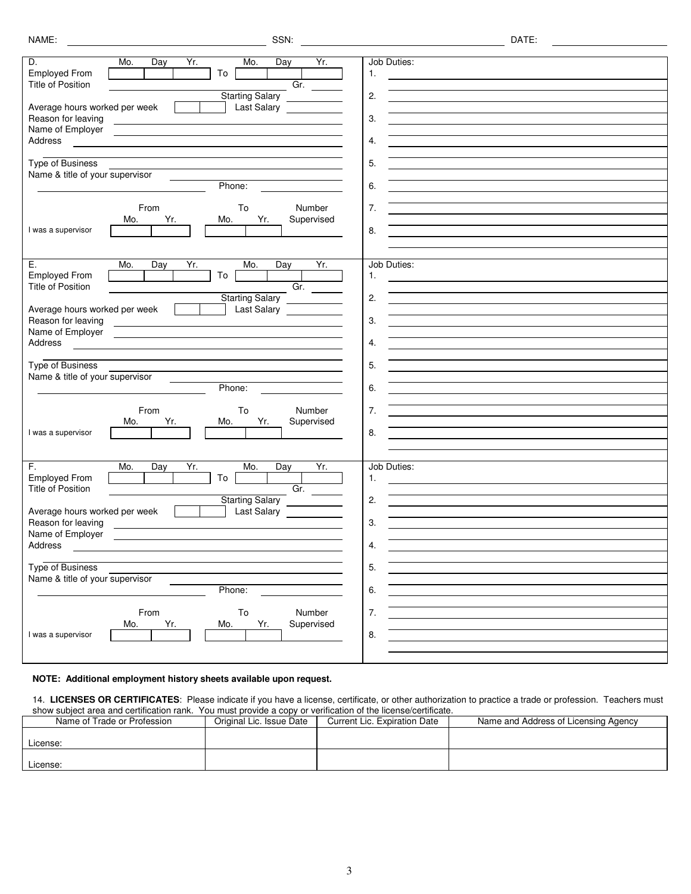| D.<br>Mo.<br>Yr.<br>Mo.<br>Yr.<br>Day<br>Day<br><b>Employed From</b><br>To                                                                                                                                                                               | Job Duties:<br>1. |
|----------------------------------------------------------------------------------------------------------------------------------------------------------------------------------------------------------------------------------------------------------|-------------------|
| <b>Title of Position</b><br>Gr.                                                                                                                                                                                                                          |                   |
| <b>Starting Salary</b>                                                                                                                                                                                                                                   | 2.                |
| Average hours worked per week<br>Last Salary                                                                                                                                                                                                             |                   |
| Reason for leaving                                                                                                                                                                                                                                       | 3.                |
| Name of Employer<br><u> 1989 - Johann Harry Harry Harry Harry Harry Harry Harry Harry Harry Harry Harry Harry Harry Harry Harry Harry</u>                                                                                                                |                   |
| Address                                                                                                                                                                                                                                                  | 4.                |
|                                                                                                                                                                                                                                                          |                   |
| <b>Type of Business</b>                                                                                                                                                                                                                                  | 5.                |
| Name & title of your supervisor                                                                                                                                                                                                                          |                   |
| Phone:                                                                                                                                                                                                                                                   | 6.                |
|                                                                                                                                                                                                                                                          |                   |
| From<br>To<br>Number                                                                                                                                                                                                                                     | 7.                |
| Yr.<br>Supervised<br>Yr.<br>Mo.<br>Mo.                                                                                                                                                                                                                   |                   |
| I was a supervisor                                                                                                                                                                                                                                       | 8.                |
|                                                                                                                                                                                                                                                          |                   |
|                                                                                                                                                                                                                                                          |                   |
| Yr.<br>Е.<br>Mo.<br>Yr.<br>Mo.<br>Day<br>Day                                                                                                                                                                                                             | Job Duties:       |
| <b>Employed From</b><br>To                                                                                                                                                                                                                               | 1.                |
| <b>Title of Position</b><br>$\overline{Gr.}$                                                                                                                                                                                                             |                   |
| Starting Salary                                                                                                                                                                                                                                          | 2.                |
| Average hours worked per week<br>Last Salary                                                                                                                                                                                                             |                   |
| Reason for leaving                                                                                                                                                                                                                                       | 3.                |
| Name of Employer<br><u>and the company of the company of the company of the company of the company of the company of the company of the company of the company of the company of the company of the company of the company of the company of the com</u> |                   |
| Address                                                                                                                                                                                                                                                  | 4.                |
|                                                                                                                                                                                                                                                          |                   |
| <b>Type of Business</b>                                                                                                                                                                                                                                  | 5.                |
| Name & title of your supervisor                                                                                                                                                                                                                          |                   |
| Phone:                                                                                                                                                                                                                                                   | 6.                |
|                                                                                                                                                                                                                                                          |                   |
| From<br>To<br>Number                                                                                                                                                                                                                                     | 7.                |
| Yr.<br>Yr.<br>Supervised<br>Mo.<br>Mo.                                                                                                                                                                                                                   |                   |
| I was a supervisor                                                                                                                                                                                                                                       | 8.                |
|                                                                                                                                                                                                                                                          |                   |
|                                                                                                                                                                                                                                                          |                   |
| F.<br>Mo.<br>Yr.<br>Mo.<br>Yr.<br>Day<br>Day                                                                                                                                                                                                             | Job Duties:       |
| <b>Employed From</b><br>To                                                                                                                                                                                                                               | 1.                |
| <b>Title of Position</b><br>Gr.                                                                                                                                                                                                                          |                   |
| <b>Starting Salary</b>                                                                                                                                                                                                                                   | 2.                |
| Average hours worked per week<br>Last Salary                                                                                                                                                                                                             |                   |
| Reason for leaving                                                                                                                                                                                                                                       | 3.                |
| Name of Employer                                                                                                                                                                                                                                         |                   |
| Address                                                                                                                                                                                                                                                  | 4.                |
|                                                                                                                                                                                                                                                          |                   |
| <b>Type of Business</b>                                                                                                                                                                                                                                  | 5.                |
| Name & title of your supervisor                                                                                                                                                                                                                          |                   |
| Phone:                                                                                                                                                                                                                                                   | 6.                |
|                                                                                                                                                                                                                                                          |                   |
| To<br>Number<br>From                                                                                                                                                                                                                                     | 7.                |
| Supervised<br>Yr.<br>Yr.<br>Mo.<br>Mo.                                                                                                                                                                                                                   |                   |
| I was a supervisor                                                                                                                                                                                                                                       | 8.                |
|                                                                                                                                                                                                                                                          |                   |

## **NOTE: Additional employment history sheets available upon request.**

14. **LICENSES OR CERTIFICATES**: Please indicate if you have a license, certificate, or other authorization to practice a trade or profession. Teachers must show subject area and certification rank. You must provide a copy or verification of the license/certificate.

| Name of Trade or Profession | Original Lic. Issue Date | Current Lic. Expiration Date | Name and Address of Licensing Agency |
|-----------------------------|--------------------------|------------------------------|--------------------------------------|
|                             |                          |                              |                                      |
| License:                    |                          |                              |                                      |
|                             |                          |                              |                                      |
| License:                    |                          |                              |                                      |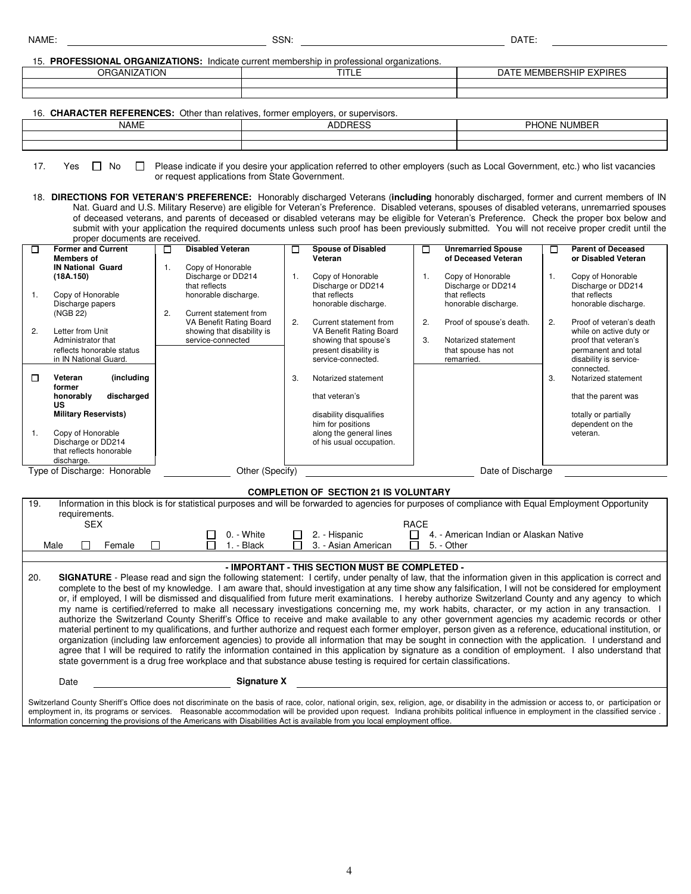|--|

NAME: SSN: DATE:

15. **PROFESSIONAL ORGANIZATIONS:** Indicate current membership in professional organizations.

| $\sim$ . The Economic original properties indicate various computational properties or admissional properties. |                 |                                               |  |  |  |  |  |  |  |  |
|----------------------------------------------------------------------------------------------------------------|-----------------|-----------------------------------------------|--|--|--|--|--|--|--|--|
| <b>ANIZATION</b><br>ORG,<br>`ANIZ.                                                                             | $\sim$ $-$<br>. | <b>EXPIRES</b><br>MBERSHIP<br>DAT<br>E MEMBEF |  |  |  |  |  |  |  |  |
|                                                                                                                |                 |                                               |  |  |  |  |  |  |  |  |
|                                                                                                                |                 |                                               |  |  |  |  |  |  |  |  |

16. **CHARACTER REFERENCES:** Other than relatives, former employers, or supervisors.

| <b>NAME</b> | <b>DDDF00</b><br>⊥ບ | <b>PHONE</b><br>NUMBEI |  |  |  |  |  |  |  |  |
|-------------|---------------------|------------------------|--|--|--|--|--|--|--|--|
|             |                     |                        |  |  |  |  |  |  |  |  |
|             |                     |                        |  |  |  |  |  |  |  |  |

17. Yes  $\Box$  No  $\Box$  Please indicate if you desire your application referred to other employers (such as Local Government, etc.) who list vacancies or request applications from State Government.

18. **DIRECTIONS FOR VETERAN'S PREFERENCE:** Honorably discharged Veterans (**including** honorably discharged, former and current members of IN Nat. Guard and U.S. Military Reserve) are eligible for Veteran's Preference. Disabled veterans, spouses of disabled veterans, unremarried spouses of deceased veterans, and parents of deceased or disabled veterans may be eligible for Veteran's Preference. Check the proper box below and submit with your application the required documents unless such proof has been previously submitted. You will not receive proper credit until the proper documents are received.

| □       | <b>Former and Current</b><br><b>Members of</b>                                                                                                                                      | <b>Disabled Veteran</b>                                                                                    | □  | <b>Spouse of Disabled</b><br>Veteran                                                                                                         | $\Box$   | <b>Unremarried Spouse</b><br>of Deceased Veteran                                     | □  | <b>Parent of Deceased</b><br>or Disabled Veteran                                                                             |
|---------|-------------------------------------------------------------------------------------------------------------------------------------------------------------------------------------|------------------------------------------------------------------------------------------------------------|----|----------------------------------------------------------------------------------------------------------------------------------------------|----------|--------------------------------------------------------------------------------------|----|------------------------------------------------------------------------------------------------------------------------------|
| 1.      | <b>IN National Guard</b><br>(18A.150)<br>Copy of Honorable<br>Discharge papers                                                                                                      | Copy of Honorable<br>Discharge or DD214<br>that reflects<br>honorable discharge.                           | 1. | Copy of Honorable<br>Discharge or DD214<br>that reflects<br>honorable discharge.                                                             |          | Copy of Honorable<br>Discharge or DD214<br>that reflects<br>honorable discharge.     | 1. | Copy of Honorable<br>Discharge or DD214<br>that reflects<br>honorable discharge.                                             |
| 2.      | (NGB 22)<br>Letter from Unit<br>Administrator that<br>reflects honorable status<br>in IN National Guard.                                                                            | 2.<br>Current statement from<br>VA Benefit Rating Board<br>showing that disability is<br>service-connected | 2. | Current statement from<br>VA Benefit Rating Board<br>showing that spouse's<br>present disability is<br>service-connected.                    | 2.<br>3. | Proof of spouse's death.<br>Notarized statement<br>that spouse has not<br>remarried. | 2. | Proof of veteran's death<br>while on active duty or<br>proof that veteran's<br>permanent and total<br>disability is service- |
| П<br>1. | (including<br>Veteran<br>former<br>discharged<br>honorably<br>US<br><b>Military Reservists)</b><br>Copy of Honorable<br>Discharge or DD214<br>that reflects honorable<br>discharge. |                                                                                                            | 3. | Notarized statement<br>that veteran's<br>disability disqualifies<br>him for positions<br>along the general lines<br>of his usual occupation. |          |                                                                                      | 3. | connected.<br>Notarized statement<br>that the parent was<br>totally or partially<br>dependent on the<br>veteran.             |
|         | Type of Discharge: Honorable                                                                                                                                                        | Other (Specify)                                                                                            |    |                                                                                                                                              |          | Date of Discharge                                                                    |    |                                                                                                                              |

## **COMPLETION OF SECTION 21 IS VOLUNTARY**

| 19. | Information in this block is for statistical purposes and will be forwarded to agencies for purposes of compliance with Equal Employment Opportunity<br>requirements.<br><b>SEX</b><br>RACE |        |  |  |                    |        |  |                                                                                                                     |  |                                                                                                                                                                                                                                                                                                                                                                                                                                                                                                                                                                                                                                                                                                                                                                                                                                                                                                                                                                                                                                                                                                                                                                                                                                                                     |
|-----|---------------------------------------------------------------------------------------------------------------------------------------------------------------------------------------------|--------|--|--|--------------------|--------|--|---------------------------------------------------------------------------------------------------------------------|--|---------------------------------------------------------------------------------------------------------------------------------------------------------------------------------------------------------------------------------------------------------------------------------------------------------------------------------------------------------------------------------------------------------------------------------------------------------------------------------------------------------------------------------------------------------------------------------------------------------------------------------------------------------------------------------------------------------------------------------------------------------------------------------------------------------------------------------------------------------------------------------------------------------------------------------------------------------------------------------------------------------------------------------------------------------------------------------------------------------------------------------------------------------------------------------------------------------------------------------------------------------------------|
|     |                                                                                                                                                                                             |        |  |  | 0. - White         | $\Box$ |  | 2. - Hispanic                                                                                                       |  | 4. - American Indian or Alaskan Native                                                                                                                                                                                                                                                                                                                                                                                                                                                                                                                                                                                                                                                                                                                                                                                                                                                                                                                                                                                                                                                                                                                                                                                                                              |
|     | Male                                                                                                                                                                                        | Female |  |  | 1. - Black         |        |  | 3. - Asian American                                                                                                 |  | 5. - Other                                                                                                                                                                                                                                                                                                                                                                                                                                                                                                                                                                                                                                                                                                                                                                                                                                                                                                                                                                                                                                                                                                                                                                                                                                                          |
|     |                                                                                                                                                                                             |        |  |  |                    |        |  |                                                                                                                     |  |                                                                                                                                                                                                                                                                                                                                                                                                                                                                                                                                                                                                                                                                                                                                                                                                                                                                                                                                                                                                                                                                                                                                                                                                                                                                     |
|     |                                                                                                                                                                                             |        |  |  |                    |        |  | - IMPORTANT - THIS SECTION MUST BE COMPLETED -                                                                      |  |                                                                                                                                                                                                                                                                                                                                                                                                                                                                                                                                                                                                                                                                                                                                                                                                                                                                                                                                                                                                                                                                                                                                                                                                                                                                     |
| 20. |                                                                                                                                                                                             |        |  |  |                    |        |  | state government is a drug free workplace and that substance abuse testing is required for certain classifications. |  | <b>SIGNATURE</b> - Please read and sign the following statement: I certify, under penalty of law, that the information given in this application is correct and<br>complete to the best of my knowledge. I am aware that, should investigation at any time show any falsification, I will not be considered for employment<br>or, if employed, I will be dismissed and disqualified from future merit examinations. I hereby authorize Switzerland County and any agency to which<br>my name is certified/referred to make all necessary investigations concerning me, my work habits, character, or my action in any transaction.<br>authorize the Switzerland County Sheriff's Office to receive and make available to any other government agencies my academic records or other<br>material pertinent to my qualifications, and further authorize and request each former employer, person given as a reference, educational institution, or<br>organization (including law enforcement agencies) to provide all information that may be sought in connection with the application. I understand and<br>agree that I will be required to ratify the information contained in this application by signature as a condition of employment. I also understand that |
|     | Date                                                                                                                                                                                        |        |  |  | <b>Signature X</b> |        |  |                                                                                                                     |  |                                                                                                                                                                                                                                                                                                                                                                                                                                                                                                                                                                                                                                                                                                                                                                                                                                                                                                                                                                                                                                                                                                                                                                                                                                                                     |

Switzerland County Sheriff's Office does not discriminate on the basis of race, color, national origin, sex, religion, age, or disability in the admission or access to, or participation or employment in, its programs or services. Reasonable accommodation will be provided upon request. Indiana prohibits political influence in employment in the classified service . Information concerning the provisions of the Americans with Disabilities Act is available from you local employment office.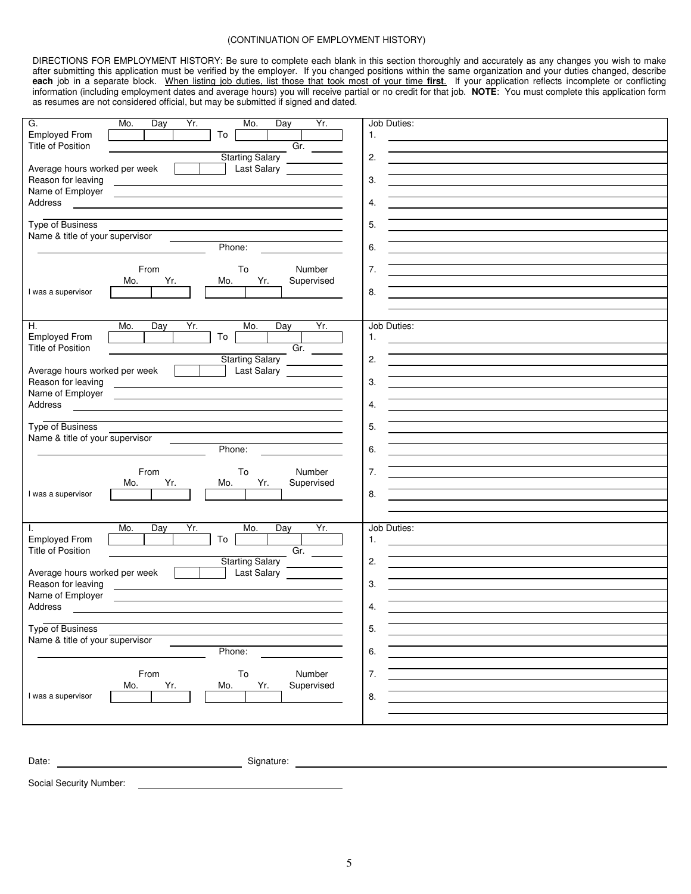## (CONTINUATION OF EMPLOYMENT HISTORY)

DIRECTIONS FOR EMPLOYMENT HISTORY: Be sure to complete each blank in this section thoroughly and accurately as any changes you wish to make after submitting this application must be verified by the employer. If you changed positions within the same organization and your duties changed, describe **each** job in a separate block. When listing job duties, list those that took most of your time **first**. If your application reflects incomplete or conflicting information (including employment dates and average hours) you will receive partial or no credit for that job. **NOTE**: You must complete this application form as resumes are not considered official, but may be submitted if signed and dated.

| G.<br>Mo.<br>Yr.<br>Mo.<br>Yr.<br>Day<br>Day                                                                                                                                                                                                             | Job Duties:                                                                                                                 |
|----------------------------------------------------------------------------------------------------------------------------------------------------------------------------------------------------------------------------------------------------------|-----------------------------------------------------------------------------------------------------------------------------|
| <b>Employed From</b><br>To                                                                                                                                                                                                                               | 1.                                                                                                                          |
| Gr.<br>Title of Position                                                                                                                                                                                                                                 |                                                                                                                             |
| <b>Starting Salary</b>                                                                                                                                                                                                                                   | 2.<br><u> 1989 - Johann Barbara, martxa alemaniar arg</u>                                                                   |
| Average hours worked per week<br>Last Salary <b>Contains the State State</b>                                                                                                                                                                             |                                                                                                                             |
| Reason for leaving                                                                                                                                                                                                                                       | 3.                                                                                                                          |
| Name of Employer<br><u> 1989 - Johann Barbara, martxa alemaniar amerikan a</u>                                                                                                                                                                           |                                                                                                                             |
| Address                                                                                                                                                                                                                                                  | 4.                                                                                                                          |
| <b>Type of Business</b>                                                                                                                                                                                                                                  | 5.                                                                                                                          |
| Name & title of your supervisor                                                                                                                                                                                                                          | <u> 1989 - Johann John Stein, markin film yn y brenin y brenin y brenin y brenin y brenin y brenin y brenin y br</u>        |
| Phone:                                                                                                                                                                                                                                                   | 6.                                                                                                                          |
|                                                                                                                                                                                                                                                          |                                                                                                                             |
| From<br>To<br>Number                                                                                                                                                                                                                                     | 7.                                                                                                                          |
| Yr.<br>Yr.<br>Supervised<br>Mo.<br>Mo.                                                                                                                                                                                                                   | <u> 1989 - John Stein, mars and der Stein and der Stein and der Stein and der Stein and der Stein and der Stein an</u>      |
| I was a supervisor                                                                                                                                                                                                                                       | 8.                                                                                                                          |
|                                                                                                                                                                                                                                                          |                                                                                                                             |
|                                                                                                                                                                                                                                                          |                                                                                                                             |
| Η.<br>Yr.<br>Mo.<br>Mo.<br>Yr.<br>Day<br>Day                                                                                                                                                                                                             | Job Duties:                                                                                                                 |
| <b>Employed From</b><br>To                                                                                                                                                                                                                               | 1.                                                                                                                          |
| Gr.<br><b>Title of Position</b>                                                                                                                                                                                                                          |                                                                                                                             |
| <b>Starting Salary</b>                                                                                                                                                                                                                                   | 2.                                                                                                                          |
| Average hours worked per week<br>Last Salary <b>Example 20</b><br>and the property of                                                                                                                                                                    | <u> 1989 - Johann Barn, amerikansk politiker (d. 1989)</u>                                                                  |
| Reason for leaving<br><u> 1989 - Johann Barn, fransk politik amerikansk politik (d. 1989)</u>                                                                                                                                                            | 3.<br><u> 1980 - Johann Barn, mars ann an t-Amhain Aonaichte ann an t-Aonaichte ann an t-Aonaichte ann an t-Aonaichte a</u> |
| Name of Employer<br><u>state and the state of the state of the state of the state of the state of the state of the state of the state of the state of the state of the state of the state of the state of the state of the state of the state of the</u> |                                                                                                                             |
| Address                                                                                                                                                                                                                                                  | 4.                                                                                                                          |
|                                                                                                                                                                                                                                                          |                                                                                                                             |
| <b>Type of Business</b>                                                                                                                                                                                                                                  | 5.                                                                                                                          |
| Name & title of your supervisor<br><b>Contract Contract</b>                                                                                                                                                                                              |                                                                                                                             |
| Phone:                                                                                                                                                                                                                                                   | 6.                                                                                                                          |
|                                                                                                                                                                                                                                                          |                                                                                                                             |
| Number<br>From<br>To                                                                                                                                                                                                                                     | 7.                                                                                                                          |
| Yr.<br>Yr.<br>Supervised<br>Mo.<br>Mo.                                                                                                                                                                                                                   |                                                                                                                             |
| I was a supervisor                                                                                                                                                                                                                                       | 8.                                                                                                                          |
|                                                                                                                                                                                                                                                          |                                                                                                                             |
|                                                                                                                                                                                                                                                          |                                                                                                                             |
| Yr.<br>Yr.<br>Mo.<br>Day<br>Mo.<br>Day<br>I.                                                                                                                                                                                                             | Job Duties:                                                                                                                 |
| <b>Employed From</b><br>To<br>Gr.                                                                                                                                                                                                                        | 1.<br><u> 1989 - Johann Harry Harry Harry Harry Harry Harry Harry Harry Harry Harry Harry Harry Harry Harry Harry Harry</u> |
| Title of Position                                                                                                                                                                                                                                        | 2.                                                                                                                          |
| Starting Salary<br>Average hours worked per week<br><b>Contract Contract Contract</b>                                                                                                                                                                    |                                                                                                                             |
| Reason for leaving                                                                                                                                                                                                                                       | 3.                                                                                                                          |
| Name of Employer                                                                                                                                                                                                                                         |                                                                                                                             |
| <u> 1980 - Jan Samuel Barbara, margaret e</u> n 1980 eta eta 1980 - Antonio Barbara, espainiar eta espainiar eta 1980<br>Address                                                                                                                         | 4.                                                                                                                          |
|                                                                                                                                                                                                                                                          |                                                                                                                             |
| <b>Type of Business</b>                                                                                                                                                                                                                                  | 5.                                                                                                                          |
| Name & title of your supervisor                                                                                                                                                                                                                          |                                                                                                                             |
| Phone:                                                                                                                                                                                                                                                   | 6.                                                                                                                          |
|                                                                                                                                                                                                                                                          |                                                                                                                             |
| From<br>To<br>Number                                                                                                                                                                                                                                     | 7.                                                                                                                          |
| Yr.<br>Yr.<br>Supervised<br>Mo.<br>Mo.                                                                                                                                                                                                                   |                                                                                                                             |
| I was a supervisor                                                                                                                                                                                                                                       | 8.                                                                                                                          |
|                                                                                                                                                                                                                                                          |                                                                                                                             |
|                                                                                                                                                                                                                                                          |                                                                                                                             |
|                                                                                                                                                                                                                                                          |                                                                                                                             |
|                                                                                                                                                                                                                                                          |                                                                                                                             |
|                                                                                                                                                                                                                                                          |                                                                                                                             |
| Signature:<br>Date:                                                                                                                                                                                                                                      |                                                                                                                             |

Social Security Number: